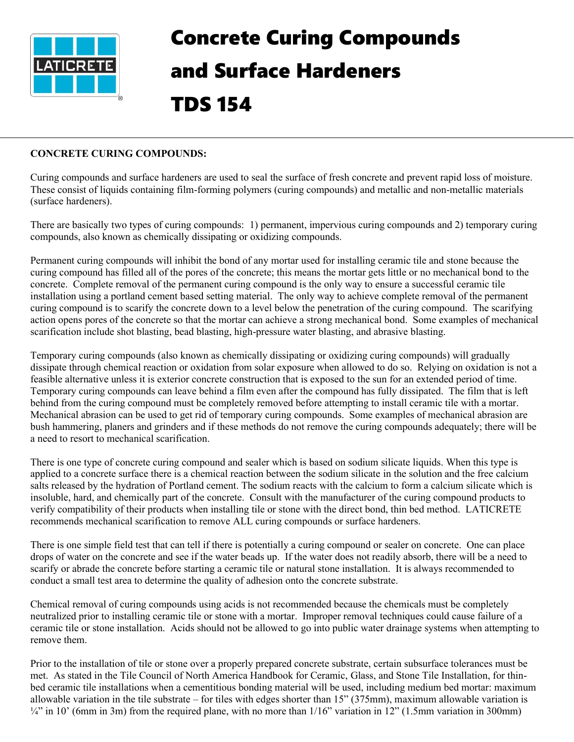

## Concrete Curing Compounds and Surface Hardeners TDS 154

## **CONCRETE CURING COMPOUNDS:**

Curing compounds and surface hardeners are used to seal the surface of fresh concrete and prevent rapid loss of moisture. These consist of liquids containing film-forming polymers (curing compounds) and metallic and non-metallic materials (surface hardeners).

There are basically two types of curing compounds: 1) permanent, impervious curing compounds and 2) temporary curing compounds, also known as chemically dissipating or oxidizing compounds.

Permanent curing compounds will inhibit the bond of any mortar used for installing ceramic tile and stone because the curing compound has filled all of the pores of the concrete; this means the mortar gets little or no mechanical bond to the concrete. Complete removal of the permanent curing compound is the only way to ensure a successful ceramic tile installation using a portland cement based setting material. The only way to achieve complete removal of the permanent curing compound is to scarify the concrete down to a level below the penetration of the curing compound. The scarifying action opens pores of the concrete so that the mortar can achieve a strong mechanical bond. Some examples of mechanical scarification include shot blasting, bead blasting, high-pressure water blasting, and abrasive blasting.

Temporary curing compounds (also known as chemically dissipating or oxidizing curing compounds) will gradually dissipate through chemical reaction or oxidation from solar exposure when allowed to do so. Relying on oxidation is not a feasible alternative unless it is exterior concrete construction that is exposed to the sun for an extended period of time. Temporary curing compounds can leave behind a film even after the compound has fully dissipated. The film that is left behind from the curing compound must be completely removed before attempting to install ceramic tile with a mortar. Mechanical abrasion can be used to get rid of temporary curing compounds. Some examples of mechanical abrasion are bush hammering, planers and grinders and if these methods do not remove the curing compounds adequately; there will be a need to resort to mechanical scarification.

There is one type of concrete curing compound and sealer which is based on sodium silicate liquids. When this type is applied to a concrete surface there is a chemical reaction between the sodium silicate in the solution and the free calcium salts released by the hydration of Portland cement. The sodium reacts with the calcium to form a calcium silicate which is insoluble, hard, and chemically part of the concrete. Consult with the manufacturer of the curing compound products to verify compatibility of their products when installing tile or stone with the direct bond, thin bed method. LATICRETE recommends mechanical scarification to remove ALL curing compounds or surface hardeners.

There is one simple field test that can tell if there is potentially a curing compound or sealer on concrete. One can place drops of water on the concrete and see if the water beads up. If the water does not readily absorb, there will be a need to scarify or abrade the concrete before starting a ceramic tile or natural stone installation. It is always recommended to conduct a small test area to determine the quality of adhesion onto the concrete substrate.

Chemical removal of curing compounds using acids is not recommended because the chemicals must be completely neutralized prior to installing ceramic tile or stone with a mortar. Improper removal techniques could cause failure of a ceramic tile or stone installation. Acids should not be allowed to go into public water drainage systems when attempting to remove them.

Prior to the installation of tile or stone over a properly prepared concrete substrate, certain subsurface tolerances must be met. As stated in the Tile Council of North America Handbook for Ceramic, Glass, and Stone Tile Installation, for thinbed ceramic tile installations when a cementitious bonding material will be used, including medium bed mortar: maximum allowable variation in the tile substrate – for tiles with edges shorter than 15" (375mm), maximum allowable variation is  $\frac{1}{4}$ " in 10' (6mm in 3m) from the required plane, with no more than  $1/16$ " variation in 12" (1.5mm variation in 300mm)